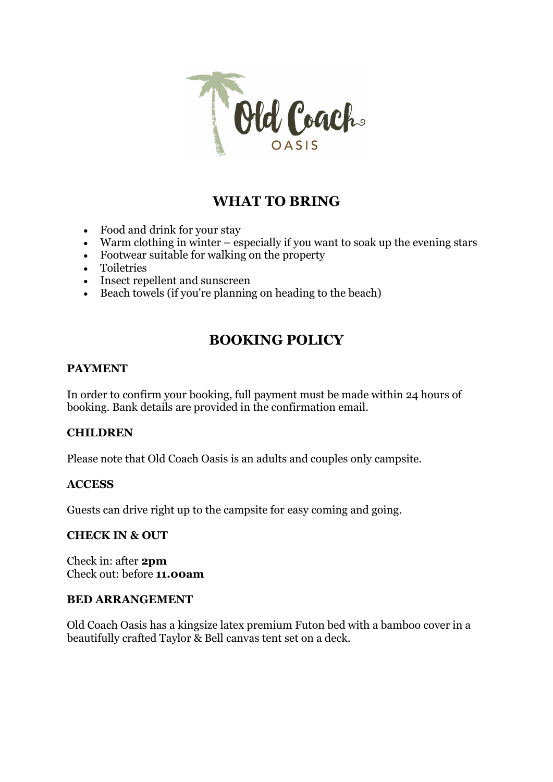

# WHAT TO BRING

- Food and drink for your stay
- $\bullet$  Warm clothing in winter especially if you want to soak up the evening stars
- Footwear suitable for walking on the property
- Toiletries
- Insect repellent and sunscreen
- Beach towels (if you're planning on heading to the beach)

# BOOKING POLICY

#### PAYMENT

In order to confirm your booking, full payment must be made within 24 hours of booking. Bank details are provided in the confirmation email.

## **CHILDREN**

Please note that Old Coach Oasis is an adults and couples only campsite.

#### **ACCESS**

Guests can drive right up to the campsite for easy coming and going.

#### CHECK IN & OUT

Check in: after 2pm Check out: before 11.00am

#### BED ARRANGEMENT

Old Coach Oasis has a kingsize latex premium Futon bed with a bamboo cover in a beautifully crafted Taylor & Bell canvas tent set on a deck.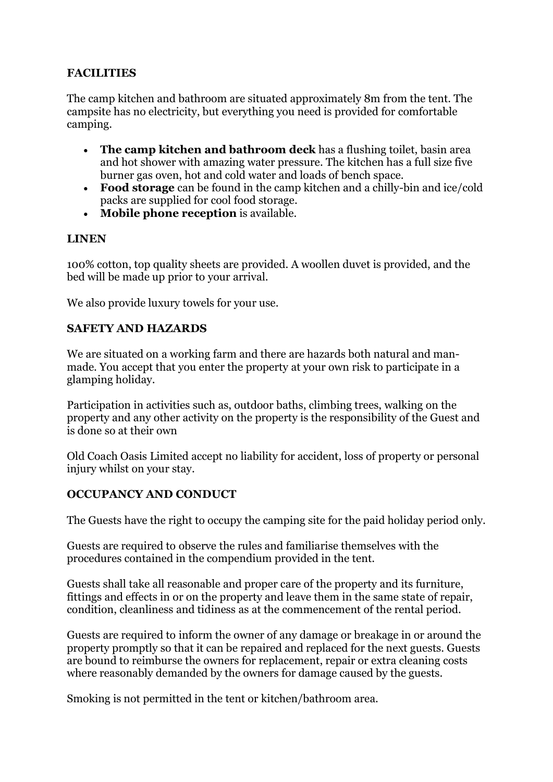## FACILITIES

The camp kitchen and bathroom are situated approximately 8m from the tent. The campsite has no electricity, but everything you need is provided for comfortable camping.

- The camp kitchen and bathroom deck has a flushing toilet, basin area and hot shower with amazing water pressure. The kitchen has a full size five burner gas oven, hot and cold water and loads of bench space.
- Food storage can be found in the camp kitchen and a chilly-bin and ice/cold packs are supplied for cool food storage.
- Mobile phone reception is available.

## LINEN

100% cotton, top quality sheets are provided. A woollen duvet is provided, and the bed will be made up prior to your arrival.

We also provide luxury towels for your use.

#### SAFETY AND HAZARDS

We are situated on a working farm and there are hazards both natural and manmade. You accept that you enter the property at your own risk to participate in a glamping holiday.

Participation in activities such as, outdoor baths, climbing trees, walking on the property and any other activity on the property is the responsibility of the Guest and is done so at their own

Old Coach Oasis Limited accept no liability for accident, loss of property or personal injury whilst on your stay.

## OCCUPANCY AND CONDUCT

The Guests have the right to occupy the camping site for the paid holiday period only.

Guests are required to observe the rules and familiarise themselves with the procedures contained in the compendium provided in the tent.

Guests shall take all reasonable and proper care of the property and its furniture, fittings and effects in or on the property and leave them in the same state of repair, condition, cleanliness and tidiness as at the commencement of the rental period.

Guests are required to inform the owner of any damage or breakage in or around the property promptly so that it can be repaired and replaced for the next guests. Guests are bound to reimburse the owners for replacement, repair or extra cleaning costs where reasonably demanded by the owners for damage caused by the guests.

Smoking is not permitted in the tent or kitchen/bathroom area.